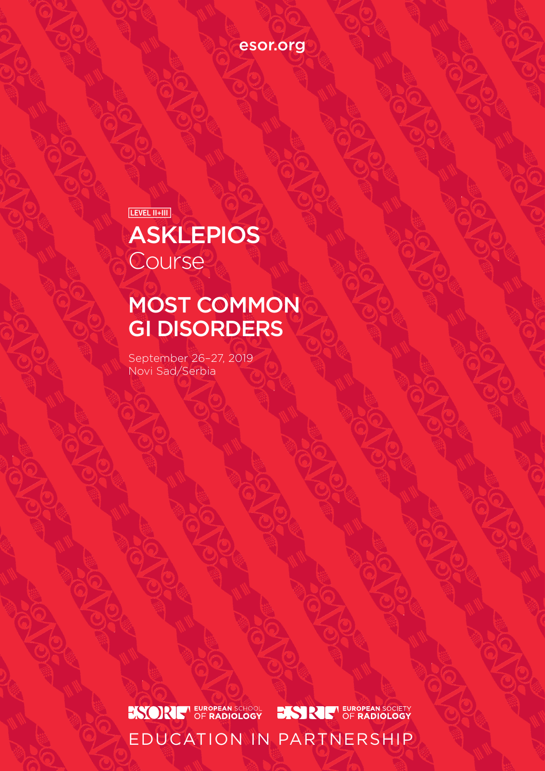[esor.org](http://www.esor.org)

 $LEVEL II + III$ 

# **ASKLEPIOS Course**

# MOST COMMON GI DISORDERS

September 26–27, 2019 Novi Sad/Serbia

**ESORE<sup>T</sup>** EUROPEAN SCHOOL

**BISTRIE EUROPEAN SOCIETY** 

EDUCATION IN PARTNERSHIP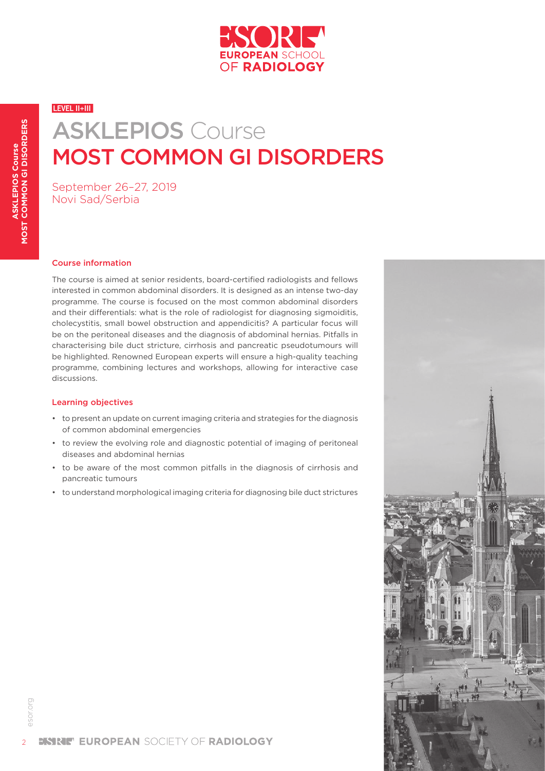

# ASKLEPIOS Course MOST COMMON GI DISORDERS

September 26–27, 2019 Novi Sad/Serbia

#### Course information

The course is aimed at senior residents, board-certified radiologists and fellows interested in common abdominal disorders. It is designed as an intense two-day programme. The course is focused on the most common abdominal disorders and their differentials: what is the role of radiologist for diagnosing sigmoiditis, cholecystitis, small bowel obstruction and appendicitis? A particular focus will be on the peritoneal diseases and the diagnosis of abdominal hernias. Pitfalls in characterising bile duct stricture, cirrhosis and pancreatic pseudotumours will be highlighted. Renowned European experts will ensure a high-quality teaching programme, combining lectures and workshops, allowing for interactive case discussions.

#### Learning objectives

- to present an update on current imaging criteria and strategies for the diagnosis of common abdominal emergencies
- to review the evolving role and diagnostic potential of imaging of peritoneal diseases and abdominal hernias
- to be aware of the most common pitfalls in the diagnosis of cirrhosis and pancreatic tumours
- to understand morphological imaging criteria for diagnosing bile duct strictures



[esor.org](http://www.esor.org)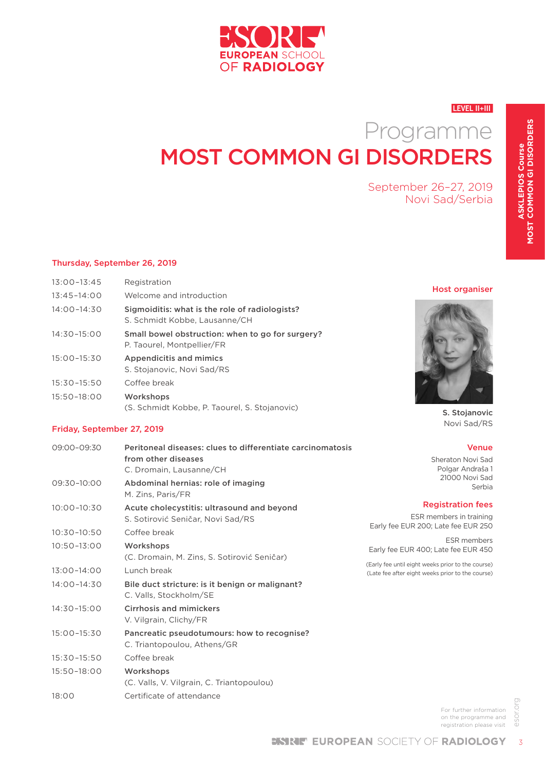

# Programme MOST COMMON GI DISORDERS

September 26–27, 2019 Novi Sad/Serbia

### Thursday, September 26, 2019

| $13:00 - 13:45$ | Registration                                                                    |
|-----------------|---------------------------------------------------------------------------------|
| $13:45 - 14:00$ | Welcome and introduction                                                        |
| $14:00 - 14:30$ | Sigmoiditis: what is the role of radiologists?<br>S. Schmidt Kobbe, Lausanne/CH |
| $14:30 - 15:00$ | Small bowel obstruction: when to go for surgery?<br>P. Taourel, Montpellier/FR  |
| $15:00 - 15:30$ | <b>Appendicitis and mimics</b><br>S. Stojanovic, Novi Sad/RS                    |
| $15:30 - 15:50$ | Coffee break                                                                    |
| 15:50-18:00     | Workshops<br>(S. Schmidt Kobbe, P. Taourel, S. Stojanovic)                      |

### Friday, September 27, 2019

| 09:00-09:30     | Peritoneal diseases: clues to differentiate carcinomatosis<br>from other diseases<br>C. Dromain, Lausanne/CH | <b>Venue</b><br>Sheraton Novi Sad<br>Polgar Andraša 1                                                 |
|-----------------|--------------------------------------------------------------------------------------------------------------|-------------------------------------------------------------------------------------------------------|
| 09:30-10:00     | Abdominal hernias: role of imaging<br>M. Zins, Paris/FR                                                      | 21000 Novi Sad<br>Serbia                                                                              |
| 10:00-10:30     | Acute cholecystitis: ultrasound and beyond<br>S. Sotirović Seničar, Novi Sad/RS                              | <b>Registration fees</b><br>ESR members in training<br>Early fee EUR 200; Late fee EUR 250            |
| 10:30-10:50     | Coffee break                                                                                                 |                                                                                                       |
| $10:50 - 13:00$ | Workshops<br>(C. Dromain, M. Zins, S. Sotirović Seničar)                                                     | ESR members<br>Early fee EUR 400; Late fee EUR 450                                                    |
| 13:00-14:00     | Lunch break                                                                                                  | (Early fee until eight weeks prior to the course)<br>(Late fee after eight weeks prior to the course) |
| $14:00 - 14:30$ | Bile duct stricture: is it benign or malignant?<br>C. Valls, Stockholm/SE                                    |                                                                                                       |
| 14:30-15:00     | <b>Cirrhosis and mimickers</b><br>V. Vilgrain, Clichy/FR                                                     |                                                                                                       |
| 15:00-15:30     | Pancreatic pseudotumours: how to recognise?<br>C. Triantopoulou, Athens/GR                                   |                                                                                                       |
| $15:30 - 15:50$ | Coffee break                                                                                                 |                                                                                                       |
| 15:50-18:00     | Workshops<br>(C. Valls, V. Vilgrain, C. Triantopoulou)                                                       |                                                                                                       |
| 18:00           | Certificate of attendance                                                                                    |                                                                                                       |

Host organiser



S. Stojanovic Novi Sad/RS

For further information on the programme and registration please visit

esor.org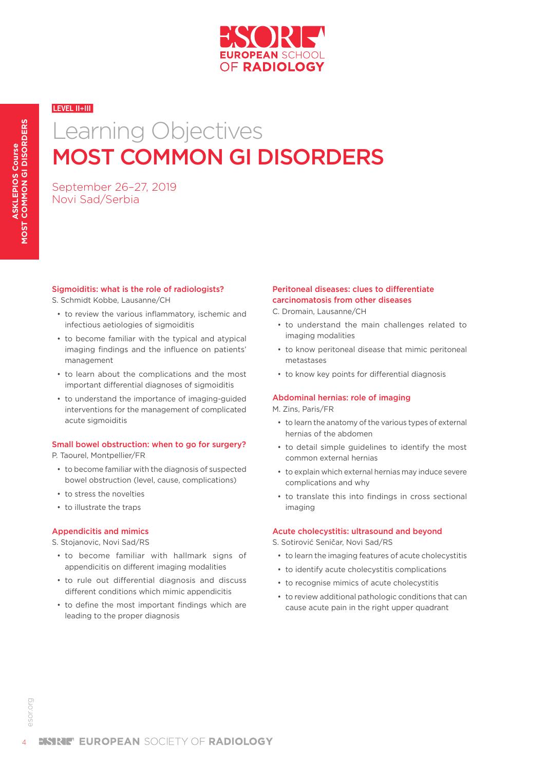

# MOST COMMON GI DISORDERS Learning Objectives

September 26–27, 2019 Novi Sad/Serbia

#### Sigmoiditis: what is the role of radiologists?

S. Schmidt Kobbe, Lausanne/CH

- to review the various inflammatory, ischemic and infectious aetiologies of sigmoiditis
- to become familiar with the typical and atypical imaging findings and the influence on patients' management
- to learn about the complications and the most important differential diagnoses of sigmoiditis
- to understand the importance of imaging-guided interventions for the management of complicated acute sigmoiditis

### Small bowel obstruction: when to go for surgery?

P. Taourel, Montpellier/FR

- to become familiar with the diagnosis of suspected bowel obstruction (level, cause, complications)
- to stress the novelties
- to illustrate the traps

#### Appendicitis and mimics

S. Stojanovic, Novi Sad/RS

- to become familiar with hallmark signs of appendicitis on different imaging modalities
- to rule out differential diagnosis and discuss different conditions which mimic appendicitis
- to define the most important findings which are leading to the proper diagnosis

#### Peritoneal diseases: clues to differentiate carcinomatosis from other diseases

C. Dromain, Lausanne/CH

- to understand the main challenges related to imaging modalities
- to know peritoneal disease that mimic peritoneal metastases
- to know key points for differential diagnosis

### Abdominal hernias: role of imaging

M. Zins, Paris/FR

- to learn the anatomy of the various types of external hernias of the abdomen
- to detail simple guidelines to identify the most common external hernias
- to explain which external hernias may induce severe complications and why
- to translate this into findings in cross sectional imaging

#### Acute cholecystitis: ultrasound and beyond

S. Sotirović Seničar, Novi Sad/RS

- to learn the imaging features of acute cholecystitis
- to identify acute cholecystitis complications
- to recognise mimics of acute cholecystitis
- to review additional pathologic conditions that can cause acute pain in the right upper quadrant

4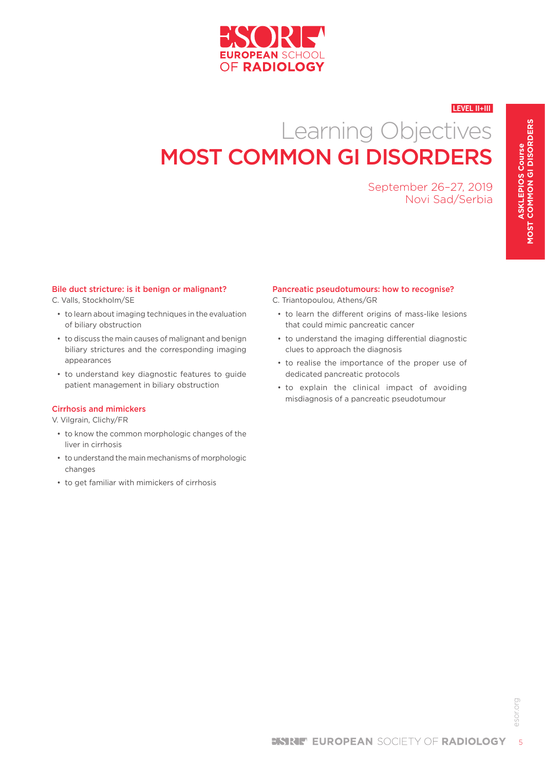

# Learning Objectives MOST COMMON GI DISORDERS

September 26–27, 2019 Novi Sad/Serbia

#### Bile duct stricture: is it benign or malignant?

C. Valls, Stockholm/SE

- to learn about imaging techniques in the evaluation of biliary obstruction
- to discuss the main causes of malignant and benign biliary strictures and the corresponding imaging appearances
- to understand key diagnostic features to guide patient management in biliary obstruction

#### Cirrhosis and mimickers

V. Vilgrain, Clichy/FR

- to know the common morphologic changes of the liver in cirrhosis
- to understand the main mechanisms of morphologic changes
- to get familiar with mimickers of cirrhosis

#### Pancreatic pseudotumours: how to recognise?

C. Triantopoulou, Athens/GR

- to learn the different origins of mass-like lesions that could mimic pancreatic cancer
- to understand the imaging differential diagnostic clues to approach the diagnosis
- to realise the importance of the proper use of dedicated pancreatic protocols
- to explain the clinical impact of avoiding misdiagnosis of a pancreatic pseudotumour